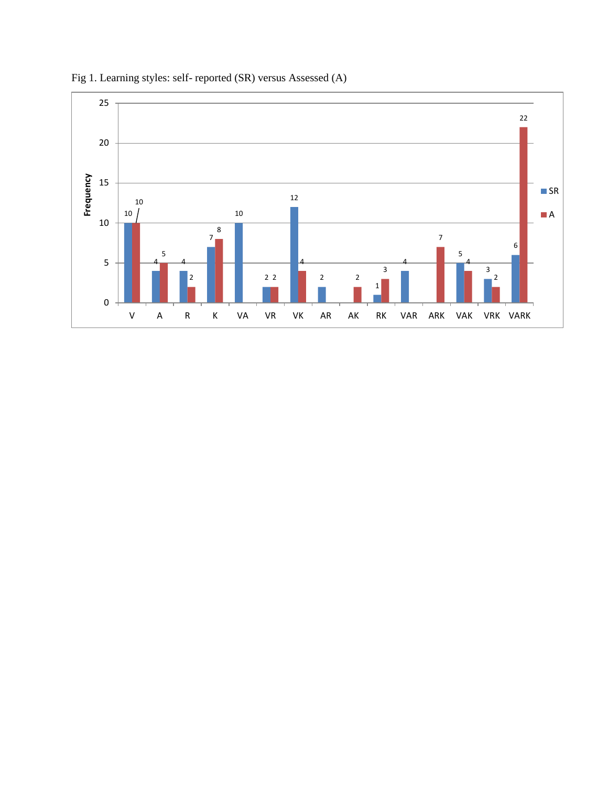

Fig 1. Learning styles: self- reported (SR) versus Assessed (A)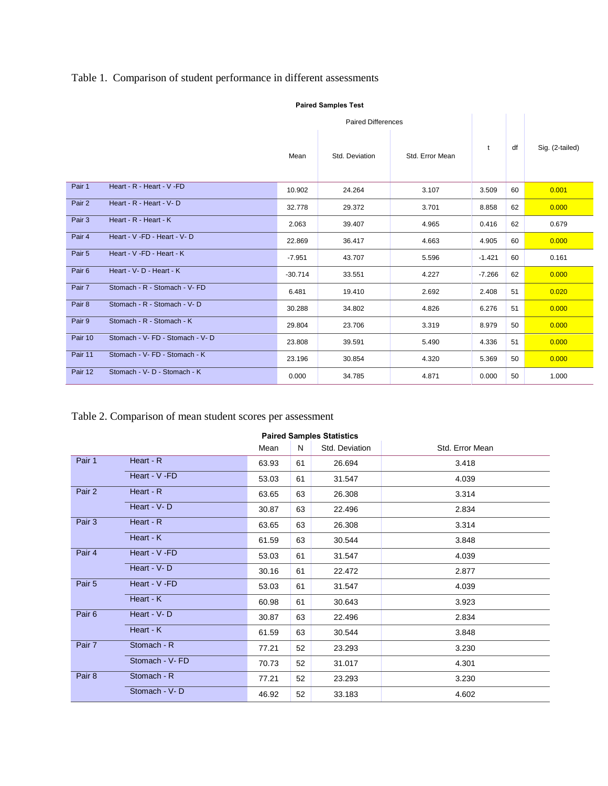## Table 1. Comparison of student performance in different assessments

|         |                                  | <b>Paired Differences</b> |                |                 |          |    |                 |
|---------|----------------------------------|---------------------------|----------------|-----------------|----------|----|-----------------|
|         |                                  | Mean                      | Std. Deviation | Std. Error Mean | t        | df | Sig. (2-tailed) |
| Pair 1  | Heart - R - Heart - V - FD       | 10.902                    | 24.264         | 3.107           | 3.509    | 60 | 0.001           |
| Pair 2  | Heart - R - Heart - V-D          | 32.778                    | 29.372         | 3.701           | 8.858    | 62 | 0.000           |
| Pair 3  | Heart - R - Heart - K            | 2.063                     | 39.407         | 4.965           | 0.416    | 62 | 0.679           |
| Pair 4  | Heart - V - FD - Heart - V - D   | 22.869                    | 36.417         | 4.663           | 4.905    | 60 | 0.000           |
| Pair 5  | Heart - V -FD - Heart - K        | $-7.951$                  | 43.707         | 5.596           | $-1.421$ | 60 | 0.161           |
| Pair 6  | Heart - V - D - Heart - K        | $-30.714$                 | 33.551         | 4.227           | $-7.266$ | 62 | 0.000           |
| Pair 7  | Stomach - R - Stomach - V- FD    | 6.481                     | 19.410         | 2.692           | 2.408    | 51 | 0.020           |
| Pair 8  | Stomach - R - Stomach - V-D      | 30.288                    | 34.802         | 4.826           | 6.276    | 51 | 0.000           |
| Pair 9  | Stomach - R - Stomach - K        | 29.804                    | 23.706         | 3.319           | 8.979    | 50 | 0.000           |
| Pair 10 | Stomach - V- FD - Stomach - V- D | 23.808                    | 39.591         | 5.490           | 4.336    | 51 | 0.000           |
| Pair 11 | Stomach - V- FD - Stomach - K    | 23.196                    | 30.854         | 4.320           | 5.369    | 50 | 0.000           |
| Pair 12 | Stomach - V- D - Stomach - K     | 0.000                     | 34.785         | 4.871           | 0.000    | 50 | 1.000           |

## **Paired Samples Test**

## Table 2. Comparison of mean student scores per assessment

| <b>Paired Samples Statistics</b> |                |       |    |                |                 |  |  |  |
|----------------------------------|----------------|-------|----|----------------|-----------------|--|--|--|
|                                  |                | Mean  | N  | Std. Deviation | Std. Error Mean |  |  |  |
| Pair 1                           | Heart - R      | 63.93 | 61 | 26.694         | 3.418           |  |  |  |
|                                  | Heart - V -FD  | 53.03 | 61 | 31.547         | 4.039           |  |  |  |
| Pair 2                           | Heart - R      | 63.65 | 63 | 26.308         | 3.314           |  |  |  |
|                                  | Heart - V-D    | 30.87 | 63 | 22.496         | 2.834           |  |  |  |
| Pair 3                           | Heart - R      | 63.65 | 63 | 26.308         | 3.314           |  |  |  |
|                                  | Heart - K      | 61.59 | 63 | 30.544         | 3.848           |  |  |  |
| Pair 4                           | Heart - V -FD  | 53.03 | 61 | 31.547         | 4.039           |  |  |  |
|                                  | Heart - V-D    | 30.16 | 61 | 22.472         | 2.877           |  |  |  |
| Pair 5                           | Heart - V -FD  | 53.03 | 61 | 31.547         | 4.039           |  |  |  |
|                                  | Heart - K      | 60.98 | 61 | 30.643         | 3.923           |  |  |  |
| Pair 6                           | Heart - V-D    | 30.87 | 63 | 22.496         | 2.834           |  |  |  |
|                                  | Heart - K      | 61.59 | 63 | 30.544         | 3.848           |  |  |  |
| Pair 7                           | Stomach - R    | 77.21 | 52 | 23.293         | 3.230           |  |  |  |
|                                  | Stomach - V-FD | 70.73 | 52 | 31.017         | 4.301           |  |  |  |
| Pair 8                           | Stomach - R    | 77.21 | 52 | 23.293         | 3.230           |  |  |  |
|                                  | Stomach - V-D  | 46.92 | 52 | 33.183         | 4.602           |  |  |  |